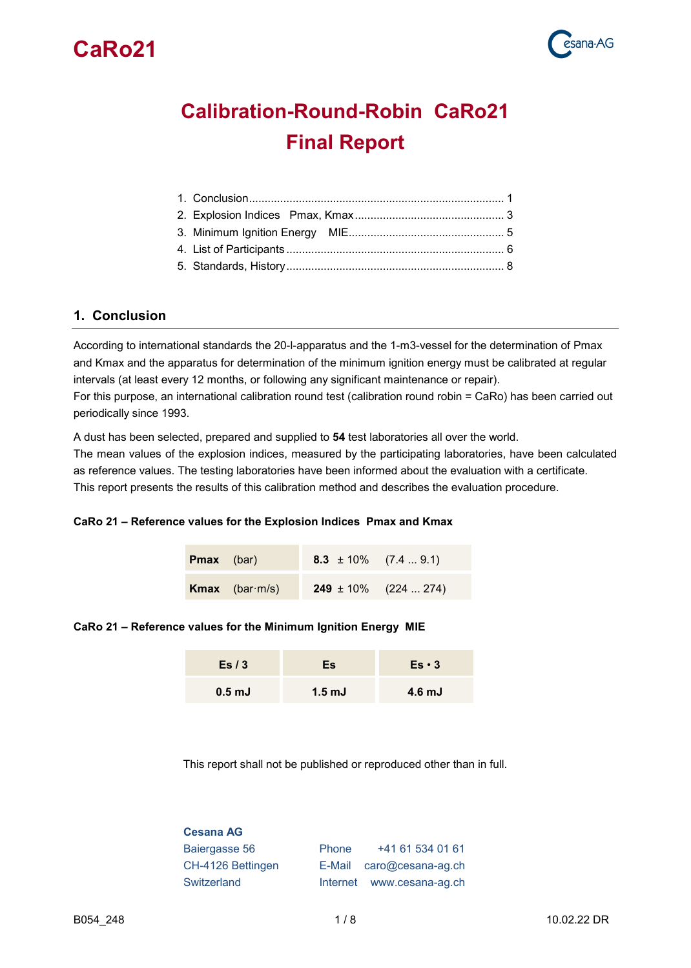



# **Calibration-Round-Robin CaRo21 Final Report**

### <span id="page-0-0"></span>**1. Conclusion**

According to international standards the 20-l-apparatus and the 1-m3-vessel for the determination of Pmax and Kmax and the apparatus for determination of the minimum ignition energy must be calibrated at regular intervals (at least every 12 months, or following any significant maintenance or repair). For this purpose, an international calibration round test (calibration round robin = CaRo) has been carried out

periodically since 1993.

A dust has been selected, prepared and supplied to **54** test laboratories all over the world.

The mean values of the explosion indices, measured by the participating laboratories, have been calculated as reference values. The testing laboratories have been informed about the evaluation with a certificate. This report presents the results of this calibration method and describes the evaluation procedure.

#### **CaRo 21 – Reference values for the Explosion Indices Pmax and Kmax**

| <b>Pmax</b> (bar) |                               | 8.3 $\pm$ 10% (7.4  9.1) |                           |
|-------------------|-------------------------------|--------------------------|---------------------------|
|                   | <b>Kmax</b> (bar $\cdot$ m/s) |                          | $249 \pm 10\%$ (224  274) |

#### **CaRo 21 – Reference values for the Minimum Ignition Energy MIE**

| Es/3              | Ξs               | $Es \cdot 3$      |
|-------------------|------------------|-------------------|
| 0.5 <sub>mJ</sub> | $1.5 \text{ mJ}$ | 4.6 <sub>mJ</sub> |

This report shall not be published or reproduced other than in full.

| <b>Cesana AG</b>  |       |                                      |
|-------------------|-------|--------------------------------------|
| Baiergasse 56     | Phone | +41 61 534 01 61                     |
| CH-4126 Bettingen |       | E-Mail $\arccos \omega$ cesana-ag.ch |
| Switzerland       |       | Internet www.cesana-ag.ch            |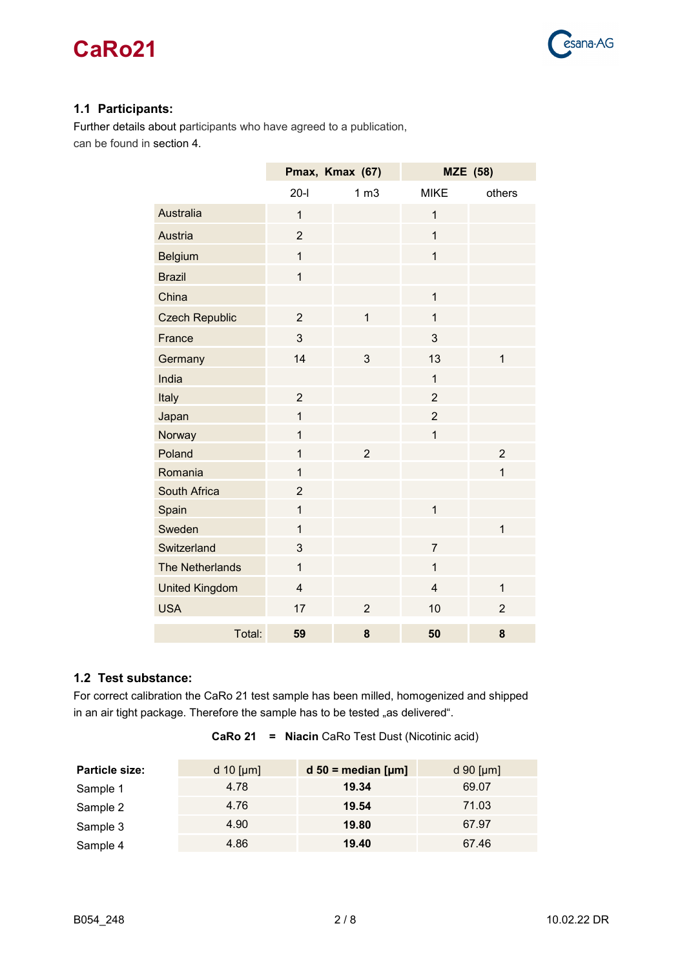

### **1.1 Participants:**

Further details about participants who have agreed to a publication, can be found in section 4.

|                        |                | Pmax, Kmax (67) | <b>MZE</b> (58) |                |
|------------------------|----------------|-----------------|-----------------|----------------|
|                        | $20-I$         | 1 <sub>m3</sub> | <b>MIKE</b>     | others         |
| <b>Australia</b>       | $\overline{1}$ |                 | $\overline{1}$  |                |
| Austria                | $\overline{2}$ |                 | $\overline{1}$  |                |
| <b>Belgium</b>         | $\overline{1}$ |                 | $\mathbf{1}$    |                |
| <b>Brazil</b>          | $\overline{1}$ |                 |                 |                |
| China                  |                |                 | $\mathbf{1}$    |                |
| <b>Czech Republic</b>  | $\overline{2}$ | $\mathbf{1}$    | $\overline{1}$  |                |
| France                 | 3              |                 | 3               |                |
| Germany                | 14             | 3               | 13              | $\mathbf{1}$   |
| India                  |                |                 | $\mathbf{1}$    |                |
| Italy                  | $\overline{2}$ |                 | $\overline{2}$  |                |
| Japan                  | $\overline{1}$ |                 | $\overline{2}$  |                |
| Norway                 | $\mathbf{1}$   |                 | $\mathbf{1}$    |                |
| Poland                 | $\overline{1}$ | $\overline{2}$  |                 | $\overline{2}$ |
| Romania                | $\mathbf{1}$   |                 |                 | $\mathbf{1}$   |
| <b>South Africa</b>    | $\overline{2}$ |                 |                 |                |
| Spain                  | $\mathbf{1}$   |                 | $\mathbf{1}$    |                |
| Sweden                 | $\mathbf{1}$   |                 |                 | $\overline{1}$ |
| Switzerland            | 3              |                 | $\overline{7}$  |                |
| <b>The Netherlands</b> | $\mathbf{1}$   |                 | $\mathbf{1}$    |                |
| <b>United Kingdom</b>  | $\overline{4}$ |                 | $\overline{4}$  | $\mathbf{1}$   |
| <b>USA</b>             | 17             | $\overline{2}$  | 10              | $\overline{2}$ |
| Total:                 | 59             | 8               | 50              | 8              |

### **1.2 Test substance:**

For correct calibration the CaRo 21 test sample has been milled, homogenized and shipped in an air tight package. Therefore the sample has to be tested "as delivered".

| <b>Particle size:</b> | d 10 $[\mu m]$ | $d$ 50 = median [ $\mu$ m] | d 90 [ $\mu$ m] |
|-----------------------|----------------|----------------------------|-----------------|
| Sample 1              | 4.78           | 19.34                      | 69.07           |
| Sample 2              | 4.76           | 19.54                      | 71.03           |
| Sample 3              | 4.90           | 19.80                      | 67.97           |
| Sample 4              | 4.86           | 19.40                      | 67.46           |

**CaRo 21 = Niacin** CaRo Test Dust (Nicotinic acid)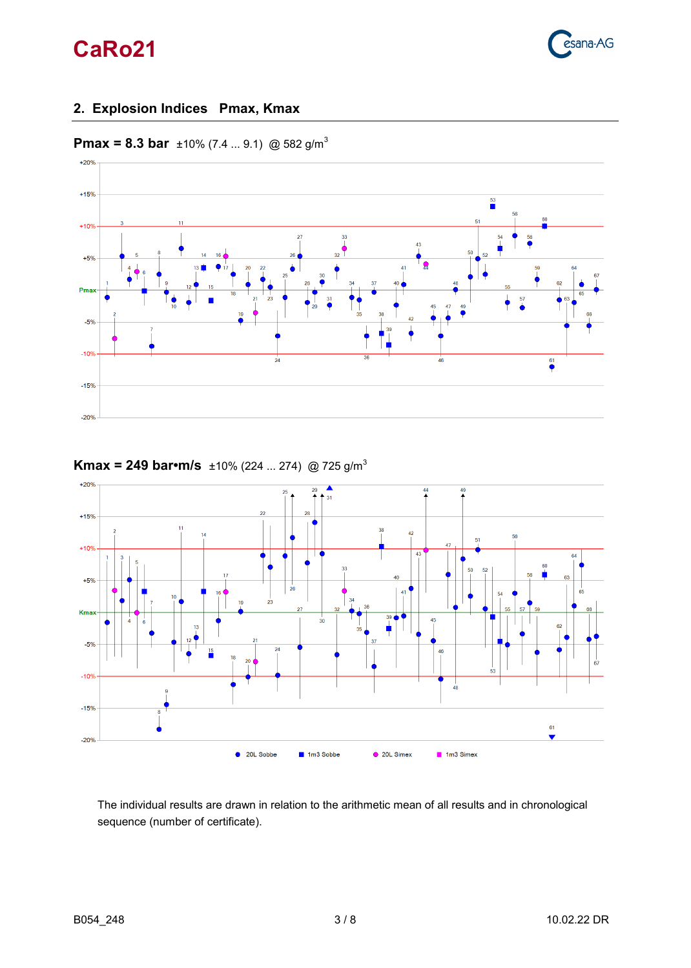

## <span id="page-2-0"></span>**2. Explosion Indices Pmax, Kmax**



**Pmax = 8.3 bar**  $\pm 10\%$  (7.4 ... 9.1) @ 582 g/m<sup>3</sup>



## **Kmax = 249 bar•m/s** ±10% (224 ... 274) @ 725 g/m<sup>3</sup>

The individual results are drawn in relation to the arithmetic mean of all results and in chronological sequence (number of certificate).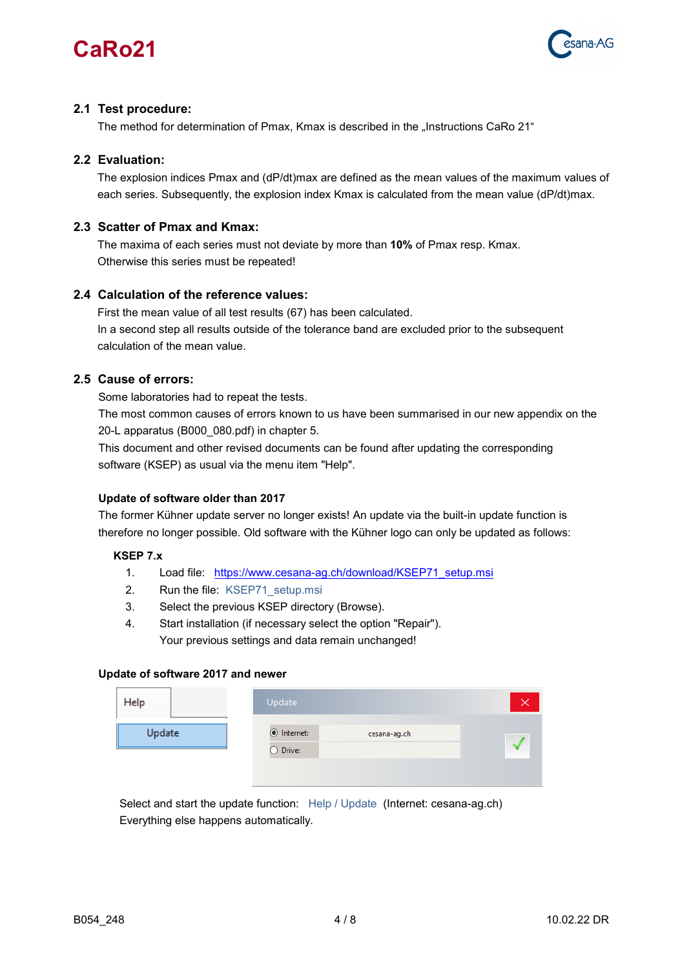



### **2.1 Test procedure:**

The method for determination of Pmax, Kmax is described in the "Instructions CaRo 21"

#### **2.2 Evaluation:**

The explosion indices Pmax and (dP/dt)max are defined as the mean values of the maximum values of each series. Subsequently, the explosion index Kmax is calculated from the mean value (dP/dt)max.

### **2.3 Scatter of Pmax and Kmax:**

The maxima of each series must not deviate by more than **10%** of Pmax resp. Kmax. Otherwise this series must be repeated!

### **2.4 Calculation of the reference values:**

First the mean value of all test results (67) has been calculated. In a second step all results outside of the tolerance band are excluded prior to the subsequent calculation of the mean value.

### **2.5 Cause of errors:**

Some laboratories had to repeat the tests.

 The most common causes of errors known to us have been summarised in our new appendix on the 20-L apparatus (B000\_080.pdf) in chapter 5.

 This document and other revised documents can be found after updating the corresponding software (KSEP) as usual via the menu item "Help".

#### **Update of software older than 2017**

 The former Kühner update server no longer exists! An update via the built-in update function is therefore no longer possible. Old software with the Kühner logo can only be updated as follows:

#### **KSEP 7.x**

- 1. Load file: [https://www.cesana-ag.ch/download/KSEP71\\_setup.msi](https://www.cesana-ag.ch/download/KSEP71_setup.msi)
- 2. Run the file: KSEP71 setup.msi
- 3. Select the previous KSEP directory (Browse).
- 4. Start installation (if necessary select the option "Repair"). Your previous settings and data remain unchanged!

#### **Update of software 2017 and newer**

| Help   | Update                                         |  |
|--------|------------------------------------------------|--|
| Update | lnternet:<br>cesana-ag.ch<br>$\bigcirc$ Drive: |  |

Select and start the update function: Help / Update (Internet: cesana-ag.ch) Everything else happens automatically.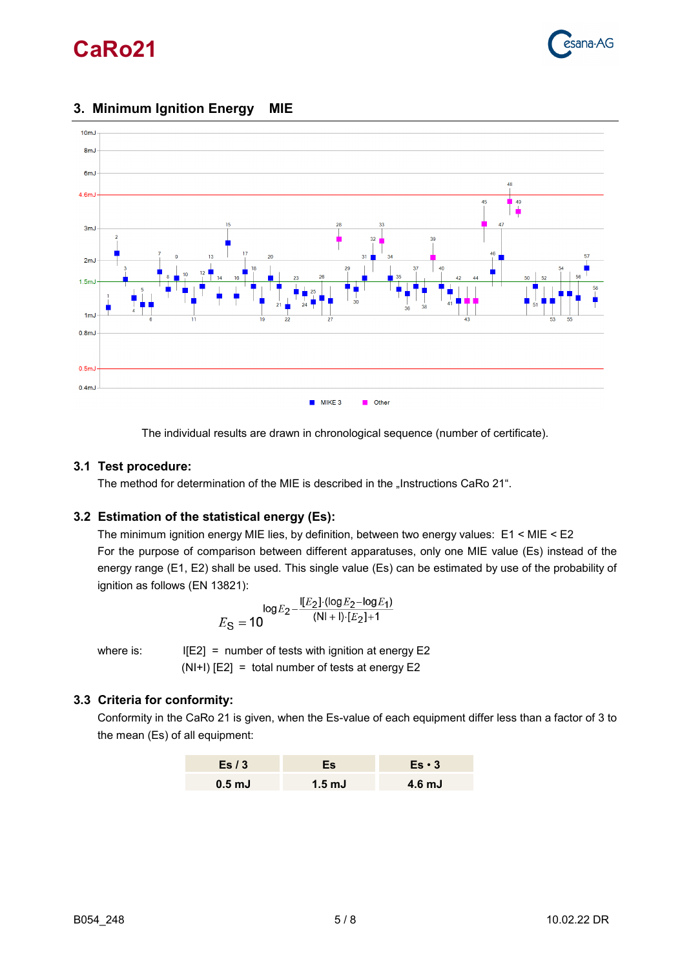



## <span id="page-4-0"></span>**3. Minimum Ignition Energy MIE**

The individual results are drawn in chronological sequence (number of certificate).

### **3.1 Test procedure:**

The method for determination of the MIE is described in the "Instructions CaRo 21".

#### **3.2 Estimation of the statistical energy (Es):**

The minimum ignition energy MIE lies, by definition, between two energy values: E1 < MIE < E2 For the purpose of comparison between different apparatuses, only one MIE value (Es) instead of the energy range (E1, E2) shall be used. This single value (Es) can be estimated by use of the probability of ignition as follows (EN 13821):

$$
E_{S} = 10^{\log E_{2} - \frac{[E_{2}]\cdot (\log E_{2} - \log E_{1})}{(N I + I) \cdot [E_{2}] + 1}}
$$

where is:  $I[E2] =$  number of tests with ignition at energy E2 (NI+I) [E2] = total number of tests at energy E2

### **3.3 Criteria for conformity:**

Conformity in the CaRo 21 is given, when the Es-value of each equipment differ less than a factor of 3 to the mean (Es) of all equipment:

| Es $/3$           | Es.              | $Es \cdot 3$      |
|-------------------|------------------|-------------------|
| 0.5 <sub>mJ</sub> | $1.5 \text{ mJ}$ | 4.6 <sub>mJ</sub> |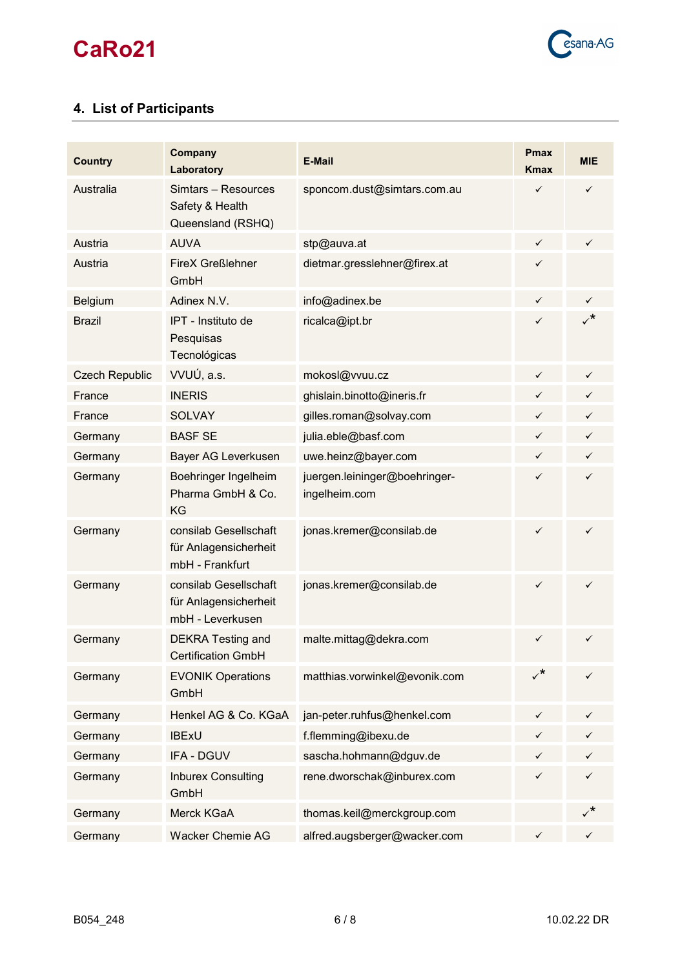

## <span id="page-5-0"></span>**4. List of Participants**

| <b>Country</b>        | Company<br>Laboratory                                              | <b>E-Mail</b>                                  | <b>Pmax</b><br><b>Kmax</b>    | <b>MIE</b>   |
|-----------------------|--------------------------------------------------------------------|------------------------------------------------|-------------------------------|--------------|
| Australia             | Simtars - Resources<br>Safety & Health<br>Queensland (RSHQ)        | sponcom.dust@simtars.com.au                    | $\checkmark$                  | $\checkmark$ |
| Austria               | <b>AUVA</b>                                                        | stp@auva.at                                    | $\checkmark$                  | $\checkmark$ |
| Austria               | <b>FireX Greßlehner</b><br>GmbH                                    | dietmar.gresslehner@firex.at                   | $\checkmark$                  |              |
| Belgium               | Adinex N.V.                                                        | info@adinex.be                                 | $\checkmark$                  | $\checkmark$ |
| <b>Brazil</b>         | IPT - Instituto de<br>Pesquisas<br>Tecnológicas                    | ricalca@ipt.br                                 | ✓                             |              |
| <b>Czech Republic</b> | VVUÚ, a.s.                                                         | mokosl@vvuu.cz                                 | ✓                             | $\checkmark$ |
| France                | <b>INERIS</b>                                                      | ghislain.binotto@ineris.fr                     | $\checkmark$                  | $\checkmark$ |
| France                | <b>SOLVAY</b>                                                      | gilles.roman@solvay.com                        | ✓                             | $\checkmark$ |
| Germany               | <b>BASF SE</b>                                                     | julia.eble@basf.com                            | $\checkmark$                  | $\checkmark$ |
| Germany               | Bayer AG Leverkusen                                                | uwe.heinz@bayer.com                            | $\checkmark$                  | $\checkmark$ |
| Germany               | Boehringer Ingelheim<br>Pharma GmbH & Co.<br>KG                    | juergen.leininger@boehringer-<br>ingelheim.com | $\checkmark$                  | $\checkmark$ |
| Germany               | consilab Gesellschaft<br>für Anlagensicherheit<br>mbH - Frankfurt  | jonas.kremer@consilab.de                       | ✓                             | ✓            |
| Germany               | consilab Gesellschaft<br>für Anlagensicherheit<br>mbH - Leverkusen | jonas.kremer@consilab.de                       | ✓                             | $\checkmark$ |
| Germany               | <b>DEKRA Testing and</b><br><b>Certification GmbH</b>              | malte.mittag@dekra.com                         | $\checkmark$ and $\checkmark$ | $\checkmark$ |
| Germany               | <b>EVONIK Operations</b><br>GmbH                                   | matthias.vorwinkel@evonik.com                  | $\checkmark^*$                | $\checkmark$ |
| Germany               | Henkel AG & Co. KGaA                                               | jan-peter.ruhfus@henkel.com                    | $\checkmark$                  | $\checkmark$ |
| Germany               | <b>IBExU</b>                                                       | f.flemming@ibexu.de                            | ✓                             |              |
| Germany               | IFA - DGUV                                                         | sascha.hohmann@dguv.de                         | $\checkmark$                  | $\checkmark$ |
| Germany               | <b>Inburex Consulting</b><br>GmbH                                  | rene.dworschak@inburex.com                     | $\checkmark$                  | $\checkmark$ |
| Germany               | Merck KGaA                                                         | thomas.keil@merckgroup.com                     |                               | $\checkmark$ |
| Germany               | <b>Wacker Chemie AG</b>                                            | alfred.augsberger@wacker.com                   | $\checkmark$                  | $\checkmark$ |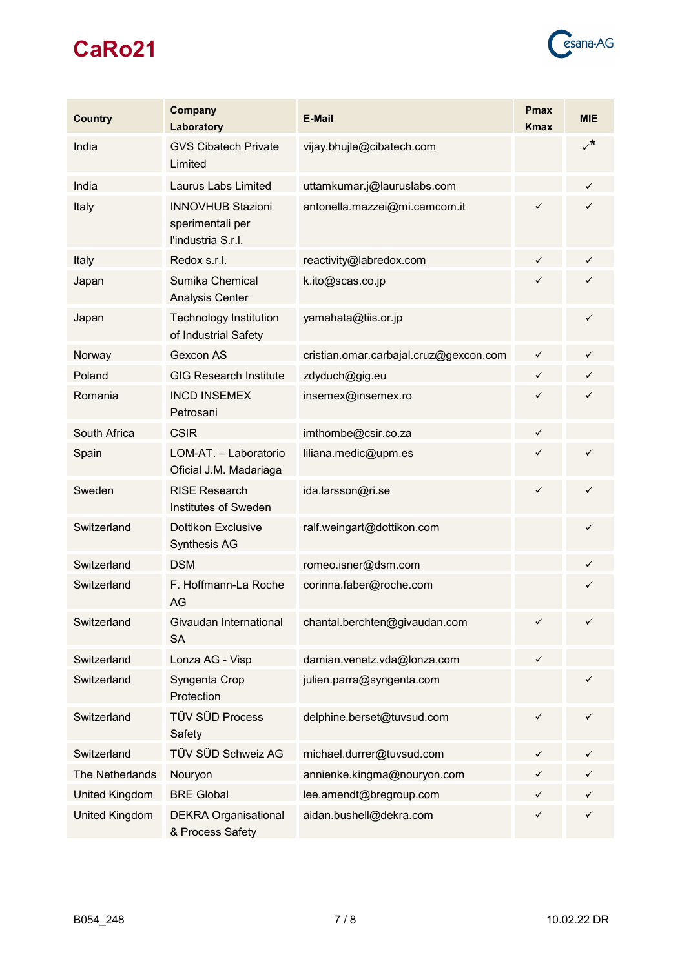

| <b>Country</b>        | Company<br>Laboratory                                              | <b>E-Mail</b>                          | <b>Pmax</b><br><b>Kmax</b> | <b>MIE</b>   |
|-----------------------|--------------------------------------------------------------------|----------------------------------------|----------------------------|--------------|
| India                 | <b>GVS Cibatech Private</b><br>Limited                             | vijay.bhujle@cibatech.com              |                            | $\checkmark$ |
| India                 | <b>Laurus Labs Limited</b>                                         | uttamkumar.j@lauruslabs.com            |                            | $\checkmark$ |
| Italy                 | <b>INNOVHUB Stazioni</b><br>sperimentali per<br>l'industria S.r.l. | antonella.mazzei@mi.camcom.it          | ✓                          | $\checkmark$ |
| Italy                 | Redox s.r.l.                                                       | reactivity@labredox.com                | ✓                          | $\checkmark$ |
| Japan                 | Sumika Chemical<br><b>Analysis Center</b>                          | k.ito@scas.co.jp                       | $\checkmark$               | $\checkmark$ |
| Japan                 | <b>Technology Institution</b><br>of Industrial Safety              | yamahata@tiis.or.jp                    |                            | $\checkmark$ |
| Norway                | Gexcon AS                                                          | cristian.omar.carbajal.cruz@gexcon.com | $\checkmark$               | $\checkmark$ |
| Poland                | <b>GIG Research Institute</b>                                      | zdyduch@gig.eu                         | ✓                          | $\checkmark$ |
| Romania               | <b>INCD INSEMEX</b><br>Petrosani                                   | insemex@insemex.ro                     | $\checkmark$               | $\checkmark$ |
| South Africa          | <b>CSIR</b>                                                        | imthombe@csir.co.za                    | ✓                          |              |
| Spain                 | LOM-AT. - Laboratorio<br>Oficial J.M. Madariaga                    | liliana.medic@upm.es                   | $\checkmark$               | $\checkmark$ |
| Sweden                | <b>RISE Research</b><br><b>Institutes of Sweden</b>                | ida.larsson@ri.se                      | $\checkmark$               | $\checkmark$ |
| Switzerland           | <b>Dottikon Exclusive</b><br><b>Synthesis AG</b>                   | ralf.weingart@dottikon.com             |                            | $\checkmark$ |
| Switzerland           | <b>DSM</b>                                                         | romeo.isner@dsm.com                    |                            | $\checkmark$ |
| Switzerland           | F. Hoffmann-La Roche<br>AG                                         | corinna.faber@roche.com                |                            | $\checkmark$ |
| Switzerland           | Givaudan International<br><b>SA</b>                                | chantal.berchten@givaudan.com          | ✓                          | $\checkmark$ |
| Switzerland           | Lonza AG - Visp                                                    | damian.venetz.vda@lonza.com            | ✓                          |              |
| Switzerland           | Syngenta Crop<br>Protection                                        | julien.parra@syngenta.com              |                            | $\checkmark$ |
| Switzerland           | <b>TÜV SÜD Process</b><br>Safety                                   | delphine.berset@tuvsud.com             | $\checkmark$               | $\checkmark$ |
| Switzerland           | TÜV SÜD Schweiz AG                                                 | michael.durrer@tuvsud.com              | ✓                          | $\checkmark$ |
| The Netherlands       | Nouryon                                                            | annienke.kingma@nouryon.com            |                            | $\checkmark$ |
| <b>United Kingdom</b> | <b>BRE Global</b>                                                  | lee.amendt@bregroup.com                | ✓                          | $\checkmark$ |
| United Kingdom        | <b>DEKRA Organisational</b><br>& Process Safety                    | aidan.bushell@dekra.com                | $\checkmark$               | $\checkmark$ |